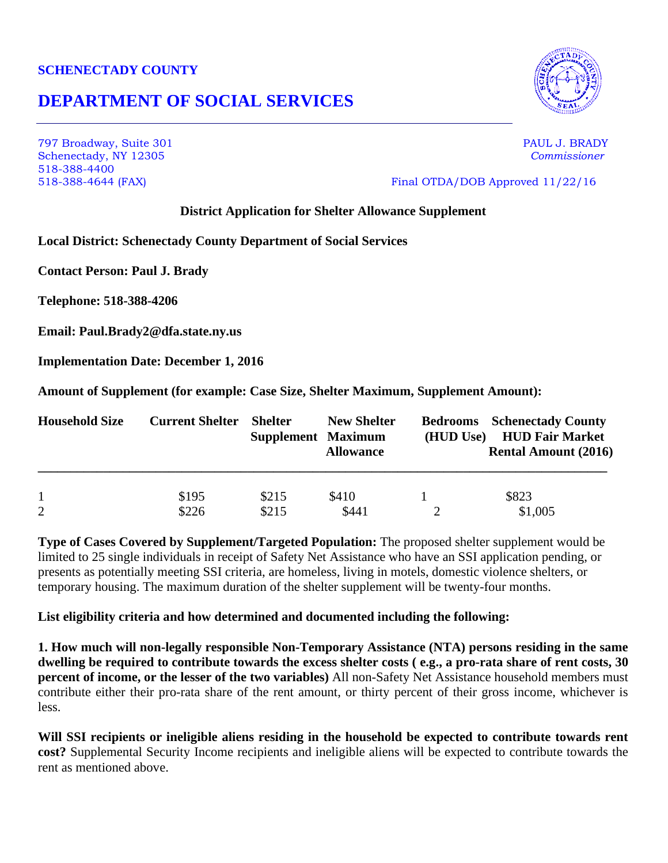### **SCHENECTADY COUNTY**

# **DEPARTMENT OF SOCIAL SERVICES**

797 Broadway, Suite 301 PAUL J. BRADY Schenectady, NY 12305 *Commissioner* 518-388-4400 518-388-4644 (FAX) Final OTDA/DOB Approved 11/22/16

### **District Application for Shelter Allowance Supplement**

**Local District: Schenectady County Department of Social Services**

**Contact Person: Paul J. Brady**

**Telephone: 518-388-4206**

**Email: Paul.Brady2@dfa.state.ny.us**

**Implementation Date: December 1, 2016**

**Amount of Supplement (for example: Case Size, Shelter Maximum, Supplement Amount):** 

| <b>Household Size</b> | <b>Current Shelter</b> | <b>Shelter</b><br><b>Supplement Maximum</b> | <b>New Shelter</b><br><b>Allowance</b> | (HUD Use) | <b>Bedrooms</b> Schenectady County<br><b>HUD Fair Market</b><br><b>Rental Amount (2016)</b> |
|-----------------------|------------------------|---------------------------------------------|----------------------------------------|-----------|---------------------------------------------------------------------------------------------|
|                       | \$195                  | \$215                                       | \$410                                  |           | \$823                                                                                       |
| $\overline{2}$        | \$226                  | \$215                                       | \$441                                  |           | \$1,005                                                                                     |

**Type of Cases Covered by Supplement/Targeted Population:** The proposed shelter supplement would be limited to 25 single individuals in receipt of Safety Net Assistance who have an SSI application pending, or presents as potentially meeting SSI criteria, are homeless, living in motels, domestic violence shelters, or temporary housing. The maximum duration of the shelter supplement will be twenty-four months.

#### **List eligibility criteria and how determined and documented including the following:**

**1. How much will non-legally responsible Non-Temporary Assistance (NTA) persons residing in the same dwelling be required to contribute towards the excess shelter costs ( e.g., a pro-rata share of rent costs, 30 percent of income, or the lesser of the two variables)** All non-Safety Net Assistance household members must contribute either their pro-rata share of the rent amount, or thirty percent of their gross income, whichever is less.

**Will SSI recipients or ineligible aliens residing in the household be expected to contribute towards rent cost?** Supplemental Security Income recipients and ineligible aliens will be expected to contribute towards the rent as mentioned above.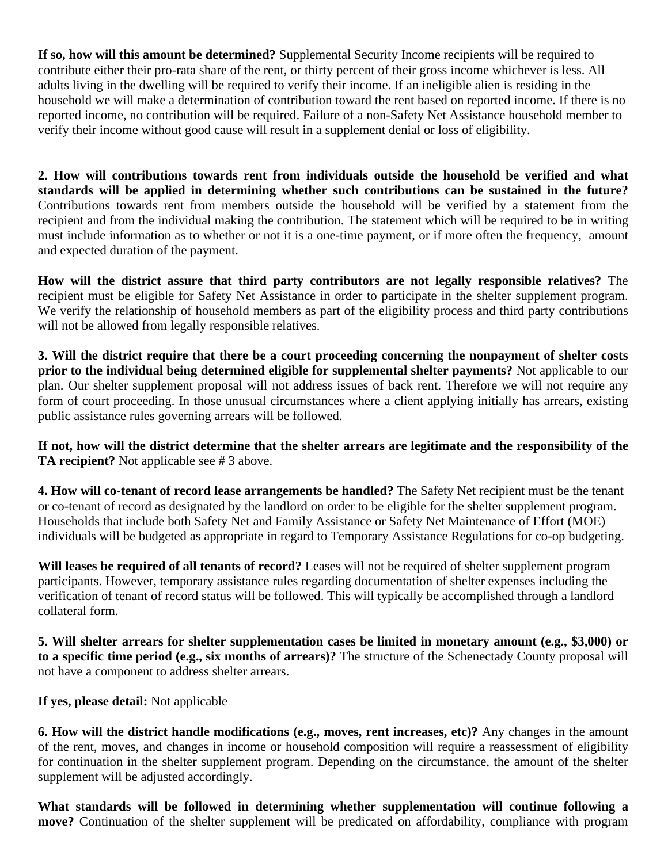**If so, how will this amount be determined?** Supplemental Security Income recipients will be required to contribute either their pro-rata share of the rent, or thirty percent of their gross income whichever is less. All adults living in the dwelling will be required to verify their income. If an ineligible alien is residing in the household we will make a determination of contribution toward the rent based on reported income. If there is no reported income, no contribution will be required. Failure of a non-Safety Net Assistance household member to verify their income without good cause will result in a supplement denial or loss of eligibility.

**2. How will contributions towards rent from individuals outside the household be verified and what standards will be applied in determining whether such contributions can be sustained in the future?** Contributions towards rent from members outside the household will be verified by a statement from the recipient and from the individual making the contribution. The statement which will be required to be in writing must include information as to whether or not it is a one-time payment, or if more often the frequency, amount and expected duration of the payment.

**How will the district assure that third party contributors are not legally responsible relatives?** The recipient must be eligible for Safety Net Assistance in order to participate in the shelter supplement program. We verify the relationship of household members as part of the eligibility process and third party contributions will not be allowed from legally responsible relatives.

**3. Will the district require that there be a court proceeding concerning the nonpayment of shelter costs prior to the individual being determined eligible for supplemental shelter payments?** Not applicable to our plan. Our shelter supplement proposal will not address issues of back rent. Therefore we will not require any form of court proceeding. In those unusual circumstances where a client applying initially has arrears, existing public assistance rules governing arrears will be followed.

**If not, how will the district determine that the shelter arrears are legitimate and the responsibility of the TA recipient?** Not applicable see # 3 above.

**4. How will co-tenant of record lease arrangements be handled?** The Safety Net recipient must be the tenant or co-tenant of record as designated by the landlord on order to be eligible for the shelter supplement program. Households that include both Safety Net and Family Assistance or Safety Net Maintenance of Effort (MOE) individuals will be budgeted as appropriate in regard to Temporary Assistance Regulations for co-op budgeting.

**Will leases be required of all tenants of record?** Leases will not be required of shelter supplement program participants. However, temporary assistance rules regarding documentation of shelter expenses including the verification of tenant of record status will be followed. This will typically be accomplished through a landlord collateral form.

**5. Will shelter arrears for shelter supplementation cases be limited in monetary amount (e.g., \$3,000) or to a specific time period (e.g., six months of arrears)?** The structure of the Schenectady County proposal will not have a component to address shelter arrears.

**If yes, please detail:** Not applicable

**6. How will the district handle modifications (e.g., moves, rent increases, etc)?** Any changes in the amount of the rent, moves, and changes in income or household composition will require a reassessment of eligibility for continuation in the shelter supplement program. Depending on the circumstance, the amount of the shelter supplement will be adjusted accordingly.

**What standards will be followed in determining whether supplementation will continue following a move?** Continuation of the shelter supplement will be predicated on affordability, compliance with program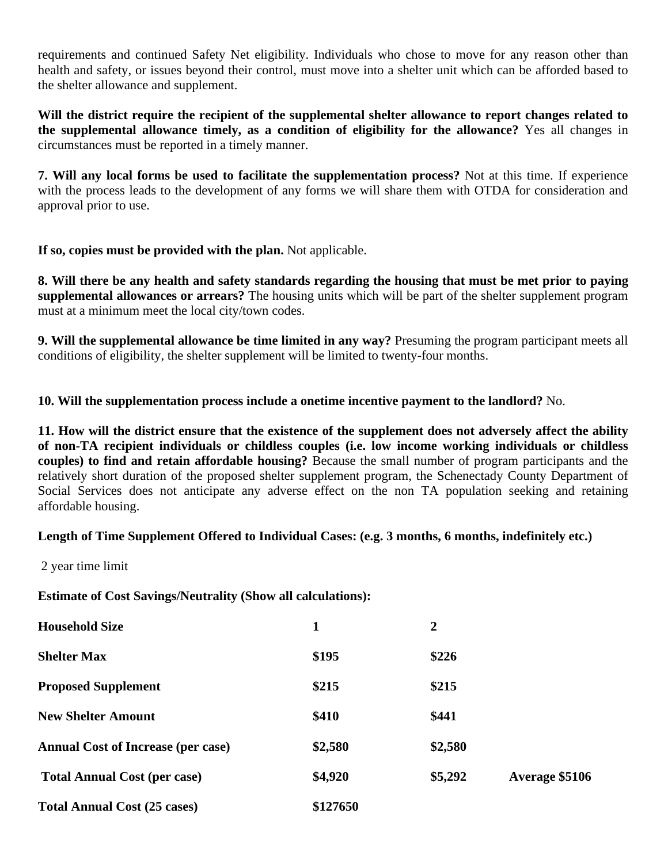requirements and continued Safety Net eligibility. Individuals who chose to move for any reason other than health and safety, or issues beyond their control, must move into a shelter unit which can be afforded based to the shelter allowance and supplement.

**Will the district require the recipient of the supplemental shelter allowance to report changes related to the supplemental allowance timely, as a condition of eligibility for the allowance?** Yes all changes in circumstances must be reported in a timely manner.

**7. Will any local forms be used to facilitate the supplementation process?** Not at this time. If experience with the process leads to the development of any forms we will share them with OTDA for consideration and approval prior to use.

**If so, copies must be provided with the plan.** Not applicable.

**8. Will there be any health and safety standards regarding the housing that must be met prior to paying supplemental allowances or arrears?** The housing units which will be part of the shelter supplement program must at a minimum meet the local city/town codes.

**9. Will the supplemental allowance be time limited in any way?** Presuming the program participant meets all conditions of eligibility, the shelter supplement will be limited to twenty-four months.

**10. Will the supplementation process include a onetime incentive payment to the landlord?** No.

**11. How will the district ensure that the existence of the supplement does not adversely affect the ability of non-TA recipient individuals or childless couples (i.e. low income working individuals or childless couples) to find and retain affordable housing?** Because the small number of program participants and the relatively short duration of the proposed shelter supplement program, the Schenectady County Department of Social Services does not anticipate any adverse effect on the non TA population seeking and retaining affordable housing.

## **Length of Time Supplement Offered to Individual Cases: (e.g. 3 months, 6 months, indefinitely etc.)**

2 year time limit

**Estimate of Cost Savings/Neutrality (Show all calculations):**

| <b>Household Size</b>                     |          | $\overline{2}$ |                |
|-------------------------------------------|----------|----------------|----------------|
| <b>Shelter Max</b>                        | \$195    | \$226          |                |
| <b>Proposed Supplement</b>                | \$215    | \$215          |                |
| <b>New Shelter Amount</b>                 | \$410    | \$441          |                |
| <b>Annual Cost of Increase (per case)</b> | \$2,580  | \$2,580        |                |
| <b>Total Annual Cost (per case)</b>       | \$4,920  | \$5,292        | Average \$5106 |
| <b>Total Annual Cost (25 cases)</b>       | \$127650 |                |                |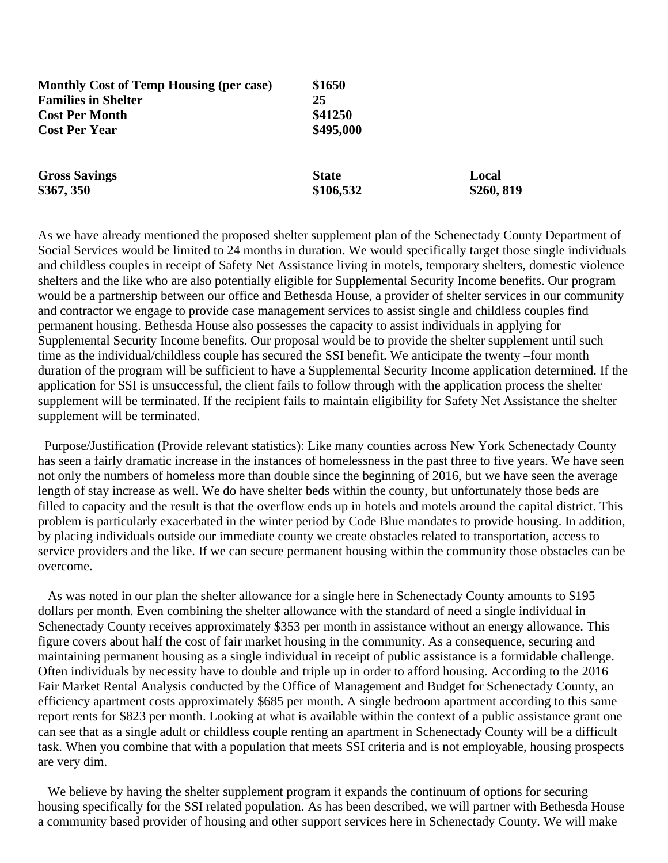| <b>Monthly Cost of Temp Housing (per case)</b> | \$1650                    |                    |
|------------------------------------------------|---------------------------|--------------------|
| <b>Families in Shelter</b>                     | 25                        |                    |
| <b>Cost Per Month</b>                          | \$41250                   |                    |
| <b>Cost Per Year</b>                           | \$495,000                 |                    |
| <b>Gross Savings</b><br>\$367, 350             | <b>State</b><br>\$106,532 | Local<br>\$260,819 |
|                                                |                           |                    |

As we have already mentioned the proposed shelter supplement plan of the Schenectady County Department of Social Services would be limited to 24 months in duration. We would specifically target those single individuals and childless couples in receipt of Safety Net Assistance living in motels, temporary shelters, domestic violence shelters and the like who are also potentially eligible for Supplemental Security Income benefits. Our program would be a partnership between our office and Bethesda House, a provider of shelter services in our community and contractor we engage to provide case management services to assist single and childless couples find permanent housing. Bethesda House also possesses the capacity to assist individuals in applying for Supplemental Security Income benefits. Our proposal would be to provide the shelter supplement until such time as the individual/childless couple has secured the SSI benefit. We anticipate the twenty –four month duration of the program will be sufficient to have a Supplemental Security Income application determined. If the application for SSI is unsuccessful, the client fails to follow through with the application process the shelter supplement will be terminated. If the recipient fails to maintain eligibility for Safety Net Assistance the shelter supplement will be terminated.

 Purpose/Justification (Provide relevant statistics): Like many counties across New York Schenectady County has seen a fairly dramatic increase in the instances of homelessness in the past three to five years. We have seen not only the numbers of homeless more than double since the beginning of 2016, but we have seen the average length of stay increase as well. We do have shelter beds within the county, but unfortunately those beds are filled to capacity and the result is that the overflow ends up in hotels and motels around the capital district. This problem is particularly exacerbated in the winter period by Code Blue mandates to provide housing. In addition, by placing individuals outside our immediate county we create obstacles related to transportation, access to service providers and the like. If we can secure permanent housing within the community those obstacles can be overcome.

 As was noted in our plan the shelter allowance for a single here in Schenectady County amounts to \$195 dollars per month. Even combining the shelter allowance with the standard of need a single individual in Schenectady County receives approximately \$353 per month in assistance without an energy allowance. This figure covers about half the cost of fair market housing in the community. As a consequence, securing and maintaining permanent housing as a single individual in receipt of public assistance is a formidable challenge. Often individuals by necessity have to double and triple up in order to afford housing. According to the 2016 Fair Market Rental Analysis conducted by the Office of Management and Budget for Schenectady County, an efficiency apartment costs approximately \$685 per month. A single bedroom apartment according to this same report rents for \$823 per month. Looking at what is available within the context of a public assistance grant one can see that as a single adult or childless couple renting an apartment in Schenectady County will be a difficult task. When you combine that with a population that meets SSI criteria and is not employable, housing prospects are very dim.

We believe by having the shelter supplement program it expands the continuum of options for securing housing specifically for the SSI related population. As has been described, we will partner with Bethesda House a community based provider of housing and other support services here in Schenectady County. We will make